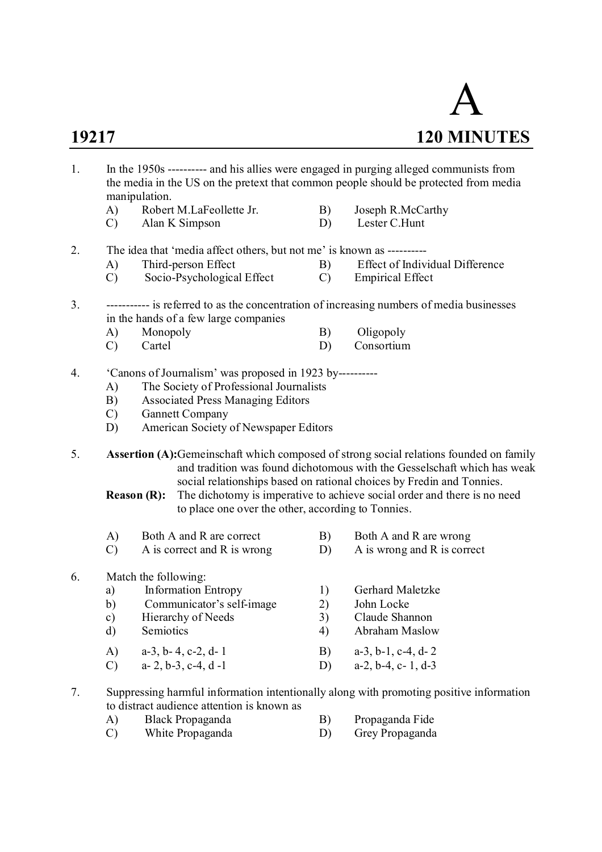

| 1. |               | manipulation.      |                                                                       |               | In the 1950s ---------- and his allies were engaged in purging alleged communists from<br>the media in the US on the pretext that common people should be protected from media                                                              |
|----|---------------|--------------------|-----------------------------------------------------------------------|---------------|---------------------------------------------------------------------------------------------------------------------------------------------------------------------------------------------------------------------------------------------|
|    | A)            |                    | Robert M.LaFeollette Jr.                                              | B)            | Joseph R.McCarthy                                                                                                                                                                                                                           |
|    | $\mathcal{C}$ |                    | Alan K Simpson                                                        | D)            | Lester C.Hunt                                                                                                                                                                                                                               |
| 2. |               |                    | The idea that 'media affect others, but not me' is known as --------- |               |                                                                                                                                                                                                                                             |
|    | A)            |                    | Third-person Effect                                                   | B)            | Effect of Individual Difference                                                                                                                                                                                                             |
|    | $\mathcal{C}$ |                    | Socio-Psychological Effect                                            | $\mathcal{C}$ | <b>Empirical Effect</b>                                                                                                                                                                                                                     |
| 3. |               |                    |                                                                       |               | ----------- is referred to as the concentration of increasing numbers of media businesses                                                                                                                                                   |
|    |               |                    | in the hands of a few large companies                                 |               |                                                                                                                                                                                                                                             |
|    | A)            | Monopoly           |                                                                       | B)            | Oligopoly                                                                                                                                                                                                                                   |
|    | $\mathcal{C}$ | Cartel             |                                                                       | D)            | Consortium                                                                                                                                                                                                                                  |
| 4. |               |                    | 'Canons of Journalism' was proposed in 1923 by----------              |               |                                                                                                                                                                                                                                             |
|    | A)            |                    | The Society of Professional Journalists                               |               |                                                                                                                                                                                                                                             |
|    | B)            |                    | <b>Associated Press Managing Editors</b>                              |               |                                                                                                                                                                                                                                             |
|    | $\mathcal{C}$ |                    | <b>Gannett Company</b>                                                |               |                                                                                                                                                                                                                                             |
|    | D)            |                    | American Society of Newspaper Editors                                 |               |                                                                                                                                                                                                                                             |
| 5. |               |                    |                                                                       |               | Assertion (A):Gemeinschaft which composed of strong social relations founded on family<br>and tradition was found dichotomous with the Gesselschaft which has weak<br>social relationships based on rational choices by Fredin and Tonnies. |
|    |               | <b>Reason (R):</b> | to place one over the other, according to Tonnies.                    |               | The dichotomy is imperative to achieve social order and there is no need                                                                                                                                                                    |
|    | A)            |                    | Both A and R are correct                                              | B)            | Both A and R are wrong                                                                                                                                                                                                                      |
|    | $\mathcal{C}$ |                    | A is correct and R is wrong                                           | D)            | A is wrong and R is correct                                                                                                                                                                                                                 |
| 6. |               |                    | Match the following:                                                  |               |                                                                                                                                                                                                                                             |
|    | a)            |                    | <b>Information Entropy</b>                                            | 1)            | Gerhard Maletzke                                                                                                                                                                                                                            |
|    | b)            |                    | Communicator's self-image                                             | 2)            | John Locke                                                                                                                                                                                                                                  |
|    | c)            |                    | Hierarchy of Needs                                                    | 3)            | Claude Shannon                                                                                                                                                                                                                              |
|    | d)            | Semiotics          |                                                                       | 4)            | Abraham Maslow                                                                                                                                                                                                                              |
|    | A)            |                    | $a-3$ , $b-4$ , $c-2$ , $d-1$                                         | B)            | $a-3$ , $b-1$ , $c-4$ , $d-2$                                                                                                                                                                                                               |
|    | $\mathcal{C}$ |                    | $a-2, b-3, c-4, d-1$                                                  | D)            | $a-2, b-4, c-1, d-3$                                                                                                                                                                                                                        |
|    |               |                    |                                                                       |               | Suppressing barmful information intentionally along with promoting positive information                                                                                                                                                     |

- 7. Suppressing harmful information intentionally along with promoting positive information to distract audience attention is known as
	- A) Black Propaganda B) Propaganda Fide<br>
	C) White Propaganda B) Grey Propaganda
		-
		- White Propaganda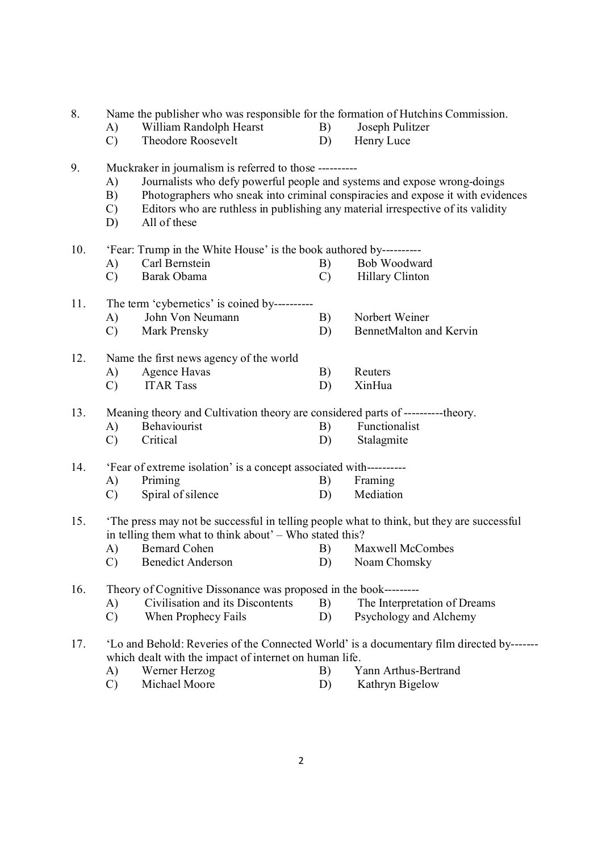8. Name the publisher who was responsible for the formation of Hutchins Commission. A) William Randolph Hearst B) Joseph Pulitzer C) Theodore Roosevelt D) Henry Luce 9. Muckraker in journalism is referred to those ---------- A) Journalists who defy powerful people and systems and expose wrong-doings B) Photographers who sneak into criminal conspiracies and expose it with evidences C) Editors who are ruthless in publishing any material irrespective of its validity D) All of these 10. 'Fear: Trump in the White House' is the book authored by---------- A) Carl Bernstein B) Bob Woodward C) Barak Obama C) Hillary Clinton 11. The term 'cybernetics' is coined by---------- A) John Von Neumann B) Norbert Weiner C) Mark Prensky D) BennetMalton and Kervin 12. Name the first news agency of the world A) Agence Havas B) Reuters C) ITAR Tass D) XinHua 13. Meaning theory and Cultivation theory are considered parts of ----------theory. A) Behaviourist B) Functionalist C) Critical D) Stalagmite 14. 'Fear of extreme isolation' is a concept associated with---------- A) Priming B) Framing C) Spiral of silence D) Mediation 15. 'The press may not be successful in telling people what to think, but they are successful in telling them what to think about' – Who stated this? A) Bernard Cohen B) Maxwell McCombes C) Benedict Anderson D) Noam Chomsky 16. Theory of Cognitive Dissonance was proposed in the book--------- A) Civilisation and its Discontents B) The Interpretation of Dreams C) When Prophecy Fails D) Psychology and Alchemy 17. 'Lo and Behold: Reveries of the Connected World' is a documentary film directed by------ which dealt with the impact of internet on human life.<br>A) Werner Herzog B)  $Y$ A) Werner Herzog B) Yann Arthus-Bertrand<br>
C) Michael Moore D) Kathryn Bigelow C) Michael Moore D) Kathryn Bigelow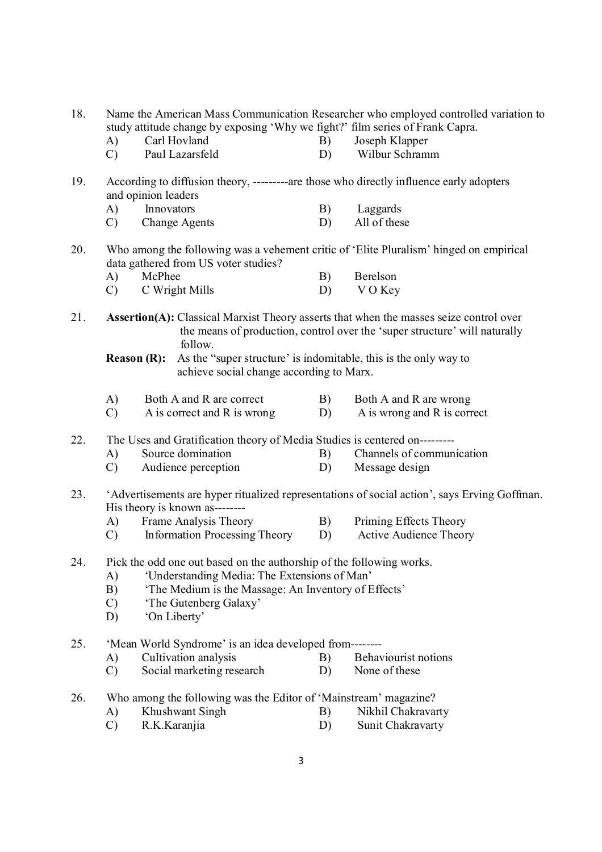| study attitude change by exposing 'Why we fight?' film series of Frank Capra.<br>Carl Hovland<br>Joseph Klapper<br>A)<br>B)<br>Wilbur Schramm<br>$\mathcal{C}$<br>Paul Lazarsfeld<br>D)<br>According to diffusion theory, ---------are those who directly influence early adopters<br>19.<br>and opinion leaders<br>Innovators<br>B)<br>Laggards<br>A)<br><b>Change Agents</b><br>All of these<br>$\mathcal{C}$<br>D)<br>20.<br>Who among the following was a vehement critic of 'Elite Pluralism' hinged on empirical<br>data gathered from US voter studies?<br>McPhee<br>Berelson<br>A)<br>B)<br>C Wright Mills<br>VO Key<br>$\mathcal{C}$<br>D)<br>21.<br><b>Assertion(A):</b> Classical Marxist Theory asserts that when the masses seize control over<br>the means of production, control over the 'super structure' will naturally<br>follow.<br>As the "super structure" is indomitable, this is the only way to<br><b>Reason (R):</b><br>achieve social change according to Marx.<br>Both A and R are correct<br>B)<br>Both A and R are wrong<br>A)<br>A is wrong and R is correct<br>$\mathcal{C}$<br>A is correct and R is wrong<br>D)<br>The Uses and Gratification theory of Media Studies is centered on---------<br>22.<br>Source domination<br>Channels of communication<br>A)<br>B)<br>$\mathcal{C}$<br>Audience perception<br>D)<br>Message design<br>'Advertisements are hyper ritualized representations of social action', says Erving Goffman.<br>23.<br>His theory is known as--------<br>Frame Analysis Theory<br>B)<br>Priming Effects Theory<br>A)<br><b>Information Processing Theory</b><br><b>Active Audience Theory</b><br>$\mathcal{C}$<br>D)<br>Pick the odd one out based on the authorship of the following works.<br>24.<br>'Understanding Media: The Extensions of Man'<br>A)<br>'The Medium is the Massage: An Inventory of Effects'<br>B)<br>$\mathcal{C}$<br>'The Gutenberg Galaxy'<br>'On Liberty'<br>D)<br>25.<br>'Mean World Syndrome' is an idea developed from--------<br>Cultivation analysis<br>Behaviourist notions<br>B)<br>A)<br>Social marketing research<br>D)<br>None of these<br>$\mathcal{C}$<br>Who among the following was the Editor of 'Mainstream' magazine?<br>26.<br>Khushwant Singh<br>Nikhil Chakravarty<br>B)<br>A) | 18. |               |              |    | Name the American Mass Communication Researcher who employed controlled variation to |
|-------------------------------------------------------------------------------------------------------------------------------------------------------------------------------------------------------------------------------------------------------------------------------------------------------------------------------------------------------------------------------------------------------------------------------------------------------------------------------------------------------------------------------------------------------------------------------------------------------------------------------------------------------------------------------------------------------------------------------------------------------------------------------------------------------------------------------------------------------------------------------------------------------------------------------------------------------------------------------------------------------------------------------------------------------------------------------------------------------------------------------------------------------------------------------------------------------------------------------------------------------------------------------------------------------------------------------------------------------------------------------------------------------------------------------------------------------------------------------------------------------------------------------------------------------------------------------------------------------------------------------------------------------------------------------------------------------------------------------------------------------------------------------------------------------------------------------------------------------------------------------------------------------------------------------------------------------------------------------------------------------------------------------------------------------------------------------------------------------------------------------------------------------------------------------------------------------------------------------------------------------------------------------------|-----|---------------|--------------|----|--------------------------------------------------------------------------------------|
|                                                                                                                                                                                                                                                                                                                                                                                                                                                                                                                                                                                                                                                                                                                                                                                                                                                                                                                                                                                                                                                                                                                                                                                                                                                                                                                                                                                                                                                                                                                                                                                                                                                                                                                                                                                                                                                                                                                                                                                                                                                                                                                                                                                                                                                                                     |     |               |              |    |                                                                                      |
|                                                                                                                                                                                                                                                                                                                                                                                                                                                                                                                                                                                                                                                                                                                                                                                                                                                                                                                                                                                                                                                                                                                                                                                                                                                                                                                                                                                                                                                                                                                                                                                                                                                                                                                                                                                                                                                                                                                                                                                                                                                                                                                                                                                                                                                                                     |     |               |              |    |                                                                                      |
|                                                                                                                                                                                                                                                                                                                                                                                                                                                                                                                                                                                                                                                                                                                                                                                                                                                                                                                                                                                                                                                                                                                                                                                                                                                                                                                                                                                                                                                                                                                                                                                                                                                                                                                                                                                                                                                                                                                                                                                                                                                                                                                                                                                                                                                                                     |     |               |              |    |                                                                                      |
|                                                                                                                                                                                                                                                                                                                                                                                                                                                                                                                                                                                                                                                                                                                                                                                                                                                                                                                                                                                                                                                                                                                                                                                                                                                                                                                                                                                                                                                                                                                                                                                                                                                                                                                                                                                                                                                                                                                                                                                                                                                                                                                                                                                                                                                                                     |     |               |              |    |                                                                                      |
|                                                                                                                                                                                                                                                                                                                                                                                                                                                                                                                                                                                                                                                                                                                                                                                                                                                                                                                                                                                                                                                                                                                                                                                                                                                                                                                                                                                                                                                                                                                                                                                                                                                                                                                                                                                                                                                                                                                                                                                                                                                                                                                                                                                                                                                                                     |     |               |              |    |                                                                                      |
|                                                                                                                                                                                                                                                                                                                                                                                                                                                                                                                                                                                                                                                                                                                                                                                                                                                                                                                                                                                                                                                                                                                                                                                                                                                                                                                                                                                                                                                                                                                                                                                                                                                                                                                                                                                                                                                                                                                                                                                                                                                                                                                                                                                                                                                                                     |     |               |              |    |                                                                                      |
|                                                                                                                                                                                                                                                                                                                                                                                                                                                                                                                                                                                                                                                                                                                                                                                                                                                                                                                                                                                                                                                                                                                                                                                                                                                                                                                                                                                                                                                                                                                                                                                                                                                                                                                                                                                                                                                                                                                                                                                                                                                                                                                                                                                                                                                                                     |     |               |              |    |                                                                                      |
|                                                                                                                                                                                                                                                                                                                                                                                                                                                                                                                                                                                                                                                                                                                                                                                                                                                                                                                                                                                                                                                                                                                                                                                                                                                                                                                                                                                                                                                                                                                                                                                                                                                                                                                                                                                                                                                                                                                                                                                                                                                                                                                                                                                                                                                                                     |     |               |              |    |                                                                                      |
|                                                                                                                                                                                                                                                                                                                                                                                                                                                                                                                                                                                                                                                                                                                                                                                                                                                                                                                                                                                                                                                                                                                                                                                                                                                                                                                                                                                                                                                                                                                                                                                                                                                                                                                                                                                                                                                                                                                                                                                                                                                                                                                                                                                                                                                                                     |     |               |              |    |                                                                                      |
|                                                                                                                                                                                                                                                                                                                                                                                                                                                                                                                                                                                                                                                                                                                                                                                                                                                                                                                                                                                                                                                                                                                                                                                                                                                                                                                                                                                                                                                                                                                                                                                                                                                                                                                                                                                                                                                                                                                                                                                                                                                                                                                                                                                                                                                                                     |     |               |              |    |                                                                                      |
|                                                                                                                                                                                                                                                                                                                                                                                                                                                                                                                                                                                                                                                                                                                                                                                                                                                                                                                                                                                                                                                                                                                                                                                                                                                                                                                                                                                                                                                                                                                                                                                                                                                                                                                                                                                                                                                                                                                                                                                                                                                                                                                                                                                                                                                                                     |     |               |              |    |                                                                                      |
|                                                                                                                                                                                                                                                                                                                                                                                                                                                                                                                                                                                                                                                                                                                                                                                                                                                                                                                                                                                                                                                                                                                                                                                                                                                                                                                                                                                                                                                                                                                                                                                                                                                                                                                                                                                                                                                                                                                                                                                                                                                                                                                                                                                                                                                                                     |     |               |              |    |                                                                                      |
|                                                                                                                                                                                                                                                                                                                                                                                                                                                                                                                                                                                                                                                                                                                                                                                                                                                                                                                                                                                                                                                                                                                                                                                                                                                                                                                                                                                                                                                                                                                                                                                                                                                                                                                                                                                                                                                                                                                                                                                                                                                                                                                                                                                                                                                                                     |     |               |              |    |                                                                                      |
|                                                                                                                                                                                                                                                                                                                                                                                                                                                                                                                                                                                                                                                                                                                                                                                                                                                                                                                                                                                                                                                                                                                                                                                                                                                                                                                                                                                                                                                                                                                                                                                                                                                                                                                                                                                                                                                                                                                                                                                                                                                                                                                                                                                                                                                                                     |     |               |              |    |                                                                                      |
|                                                                                                                                                                                                                                                                                                                                                                                                                                                                                                                                                                                                                                                                                                                                                                                                                                                                                                                                                                                                                                                                                                                                                                                                                                                                                                                                                                                                                                                                                                                                                                                                                                                                                                                                                                                                                                                                                                                                                                                                                                                                                                                                                                                                                                                                                     |     |               |              |    |                                                                                      |
|                                                                                                                                                                                                                                                                                                                                                                                                                                                                                                                                                                                                                                                                                                                                                                                                                                                                                                                                                                                                                                                                                                                                                                                                                                                                                                                                                                                                                                                                                                                                                                                                                                                                                                                                                                                                                                                                                                                                                                                                                                                                                                                                                                                                                                                                                     |     |               |              |    |                                                                                      |
|                                                                                                                                                                                                                                                                                                                                                                                                                                                                                                                                                                                                                                                                                                                                                                                                                                                                                                                                                                                                                                                                                                                                                                                                                                                                                                                                                                                                                                                                                                                                                                                                                                                                                                                                                                                                                                                                                                                                                                                                                                                                                                                                                                                                                                                                                     |     |               |              |    |                                                                                      |
|                                                                                                                                                                                                                                                                                                                                                                                                                                                                                                                                                                                                                                                                                                                                                                                                                                                                                                                                                                                                                                                                                                                                                                                                                                                                                                                                                                                                                                                                                                                                                                                                                                                                                                                                                                                                                                                                                                                                                                                                                                                                                                                                                                                                                                                                                     |     |               |              |    |                                                                                      |
|                                                                                                                                                                                                                                                                                                                                                                                                                                                                                                                                                                                                                                                                                                                                                                                                                                                                                                                                                                                                                                                                                                                                                                                                                                                                                                                                                                                                                                                                                                                                                                                                                                                                                                                                                                                                                                                                                                                                                                                                                                                                                                                                                                                                                                                                                     |     |               |              |    |                                                                                      |
|                                                                                                                                                                                                                                                                                                                                                                                                                                                                                                                                                                                                                                                                                                                                                                                                                                                                                                                                                                                                                                                                                                                                                                                                                                                                                                                                                                                                                                                                                                                                                                                                                                                                                                                                                                                                                                                                                                                                                                                                                                                                                                                                                                                                                                                                                     |     |               |              |    |                                                                                      |
|                                                                                                                                                                                                                                                                                                                                                                                                                                                                                                                                                                                                                                                                                                                                                                                                                                                                                                                                                                                                                                                                                                                                                                                                                                                                                                                                                                                                                                                                                                                                                                                                                                                                                                                                                                                                                                                                                                                                                                                                                                                                                                                                                                                                                                                                                     |     |               |              |    |                                                                                      |
|                                                                                                                                                                                                                                                                                                                                                                                                                                                                                                                                                                                                                                                                                                                                                                                                                                                                                                                                                                                                                                                                                                                                                                                                                                                                                                                                                                                                                                                                                                                                                                                                                                                                                                                                                                                                                                                                                                                                                                                                                                                                                                                                                                                                                                                                                     |     |               |              |    |                                                                                      |
|                                                                                                                                                                                                                                                                                                                                                                                                                                                                                                                                                                                                                                                                                                                                                                                                                                                                                                                                                                                                                                                                                                                                                                                                                                                                                                                                                                                                                                                                                                                                                                                                                                                                                                                                                                                                                                                                                                                                                                                                                                                                                                                                                                                                                                                                                     |     |               |              |    |                                                                                      |
|                                                                                                                                                                                                                                                                                                                                                                                                                                                                                                                                                                                                                                                                                                                                                                                                                                                                                                                                                                                                                                                                                                                                                                                                                                                                                                                                                                                                                                                                                                                                                                                                                                                                                                                                                                                                                                                                                                                                                                                                                                                                                                                                                                                                                                                                                     |     |               |              |    |                                                                                      |
|                                                                                                                                                                                                                                                                                                                                                                                                                                                                                                                                                                                                                                                                                                                                                                                                                                                                                                                                                                                                                                                                                                                                                                                                                                                                                                                                                                                                                                                                                                                                                                                                                                                                                                                                                                                                                                                                                                                                                                                                                                                                                                                                                                                                                                                                                     |     |               |              |    |                                                                                      |
|                                                                                                                                                                                                                                                                                                                                                                                                                                                                                                                                                                                                                                                                                                                                                                                                                                                                                                                                                                                                                                                                                                                                                                                                                                                                                                                                                                                                                                                                                                                                                                                                                                                                                                                                                                                                                                                                                                                                                                                                                                                                                                                                                                                                                                                                                     |     |               |              |    |                                                                                      |
|                                                                                                                                                                                                                                                                                                                                                                                                                                                                                                                                                                                                                                                                                                                                                                                                                                                                                                                                                                                                                                                                                                                                                                                                                                                                                                                                                                                                                                                                                                                                                                                                                                                                                                                                                                                                                                                                                                                                                                                                                                                                                                                                                                                                                                                                                     |     |               |              |    |                                                                                      |
|                                                                                                                                                                                                                                                                                                                                                                                                                                                                                                                                                                                                                                                                                                                                                                                                                                                                                                                                                                                                                                                                                                                                                                                                                                                                                                                                                                                                                                                                                                                                                                                                                                                                                                                                                                                                                                                                                                                                                                                                                                                                                                                                                                                                                                                                                     |     |               |              |    |                                                                                      |
|                                                                                                                                                                                                                                                                                                                                                                                                                                                                                                                                                                                                                                                                                                                                                                                                                                                                                                                                                                                                                                                                                                                                                                                                                                                                                                                                                                                                                                                                                                                                                                                                                                                                                                                                                                                                                                                                                                                                                                                                                                                                                                                                                                                                                                                                                     |     |               |              |    |                                                                                      |
|                                                                                                                                                                                                                                                                                                                                                                                                                                                                                                                                                                                                                                                                                                                                                                                                                                                                                                                                                                                                                                                                                                                                                                                                                                                                                                                                                                                                                                                                                                                                                                                                                                                                                                                                                                                                                                                                                                                                                                                                                                                                                                                                                                                                                                                                                     |     | $\mathcal{C}$ | R.K.Karanjia | D) | Sunit Chakravarty                                                                    |

3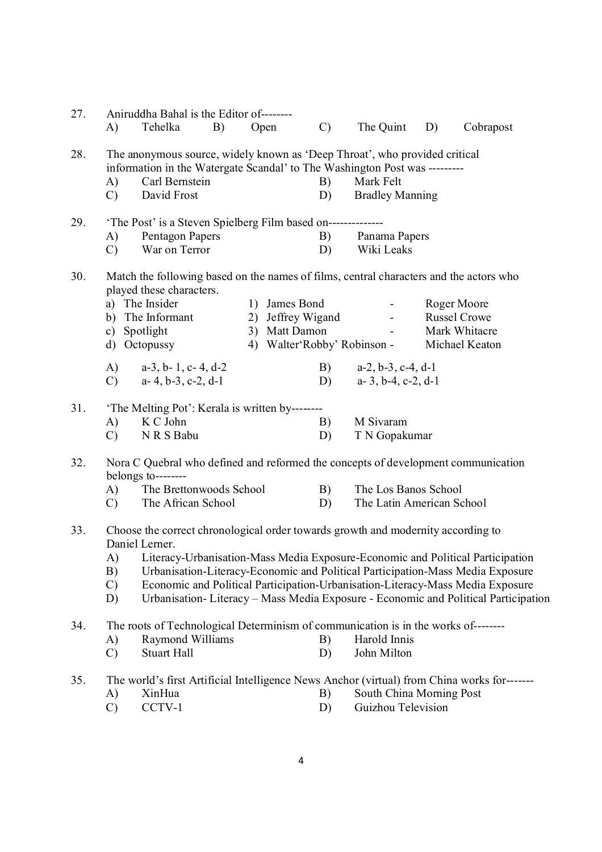| 27. | A)                  | Aniruddha Bahal is the Editor of--------<br>Tehelka<br>B)                                                          | Open              | $\mathcal{C}$ | The Quint                                                           | D) | Cobrapost                                                                          |
|-----|---------------------|--------------------------------------------------------------------------------------------------------------------|-------------------|---------------|---------------------------------------------------------------------|----|------------------------------------------------------------------------------------|
|     |                     |                                                                                                                    |                   |               |                                                                     |    |                                                                                    |
| 28. |                     | The anonymous source, widely known as 'Deep Throat', who provided critical                                         |                   |               |                                                                     |    |                                                                                    |
|     |                     | information in the Watergate Scandal' to The Washington Post was ---------<br>Carl Bernstein                       |                   | B)            | Mark Felt                                                           |    |                                                                                    |
|     | A)<br>$\mathcal{C}$ | David Frost                                                                                                        |                   | D)            | <b>Bradley Manning</b>                                              |    |                                                                                    |
|     |                     |                                                                                                                    |                   |               |                                                                     |    |                                                                                    |
| 29. |                     | 'The Post' is a Steven Spielberg Film based on--------------                                                       |                   |               |                                                                     |    |                                                                                    |
|     | A)                  | Pentagon Papers                                                                                                    |                   | B)            | Panama Papers                                                       |    |                                                                                    |
|     | $\mathcal{C}$       | War on Terror                                                                                                      |                   | D)            | Wiki Leaks                                                          |    |                                                                                    |
| 30. |                     | Match the following based on the names of films, central characters and the actors who<br>played these characters. |                   |               |                                                                     |    |                                                                                    |
|     |                     | a) The Insider                                                                                                     | 1) James Bond     |               | $\bullet$ .<br><br><br><br><br><br><br><br><br><br><br><br><br><br> |    | Roger Moore                                                                        |
|     |                     | b) The Informant                                                                                                   | 2) Jeffrey Wigand |               |                                                                     |    | <b>Russel Crowe</b>                                                                |
|     |                     | c) Spotlight                                                                                                       | 3) Matt Damon     |               | $\blacksquare$                                                      |    | Mark Whitacre                                                                      |
|     |                     | d) Octopussy                                                                                                       |                   |               | 4) Walter'Robby' Robinson -                                         |    | Michael Keaton                                                                     |
|     | A)                  | $a-3$ , $b-1$ , $c-4$ , $d-2$                                                                                      |                   | B)            | $a-2, b-3, c-4, d-1$                                                |    |                                                                                    |
|     | $\mathcal{C}$       | $a-4, b-3, c-2, d-1$                                                                                               |                   | D)            | $a-3$ , $b-4$ , $c-2$ , $d-1$                                       |    |                                                                                    |
|     |                     |                                                                                                                    |                   |               |                                                                     |    |                                                                                    |
| 31. |                     | 'The Melting Pot': Kerala is written by--------                                                                    |                   |               |                                                                     |    |                                                                                    |
|     | A)                  | K C John                                                                                                           |                   | B)            | M Sivaram                                                           |    |                                                                                    |
|     | $\mathcal{C}$       | N R S Babu                                                                                                         |                   | D)            | T N Gopakumar                                                       |    |                                                                                    |
| 32. |                     | Nora C Quebral who defined and reformed the concepts of development communication<br>belongs to--------            |                   |               |                                                                     |    |                                                                                    |
|     | A)                  | The Brettonwoods School                                                                                            |                   | B)            | The Los Banos School                                                |    |                                                                                    |
|     | $\mathcal{C}$ )     | The African School                                                                                                 |                   | D)            | The Latin American School                                           |    |                                                                                    |
| 33. |                     | Choose the correct chronological order towards growth and modernity according to<br>Daniel Lerner.                 |                   |               |                                                                     |    |                                                                                    |
|     | A)                  | Literacy-Urbanisation-Mass Media Exposure-Economic and Political Participation                                     |                   |               |                                                                     |    |                                                                                    |
|     | B)                  | Urbanisation-Literacy-Economic and Political Participation-Mass Media Exposure                                     |                   |               |                                                                     |    |                                                                                    |
|     | $\mathcal{C}$       | Economic and Political Participation-Urbanisation-Literacy-Mass Media Exposure                                     |                   |               |                                                                     |    |                                                                                    |
|     | D)                  |                                                                                                                    |                   |               |                                                                     |    | Urbanisation-Literacy - Mass Media Exposure - Economic and Political Participation |
| 34. |                     | The roots of Technological Determinism of communication is in the works of-------                                  |                   |               |                                                                     |    |                                                                                    |
|     | A)                  | Raymond Williams                                                                                                   |                   | B)            | Harold Innis                                                        |    |                                                                                    |
|     | $\mathcal{C}$       | <b>Stuart Hall</b>                                                                                                 |                   | D)            | John Milton                                                         |    |                                                                                    |
| 35. |                     | The world's first Artificial Intelligence News Anchor (virtual) from China works for-------                        |                   |               |                                                                     |    |                                                                                    |
|     | A)                  | XinHua                                                                                                             |                   | B)            | South China Morning Post                                            |    |                                                                                    |
|     | $\mathcal{C}$       | CCTV-1                                                                                                             |                   | D)            | Guizhou Television                                                  |    |                                                                                    |
|     |                     |                                                                                                                    |                   |               |                                                                     |    |                                                                                    |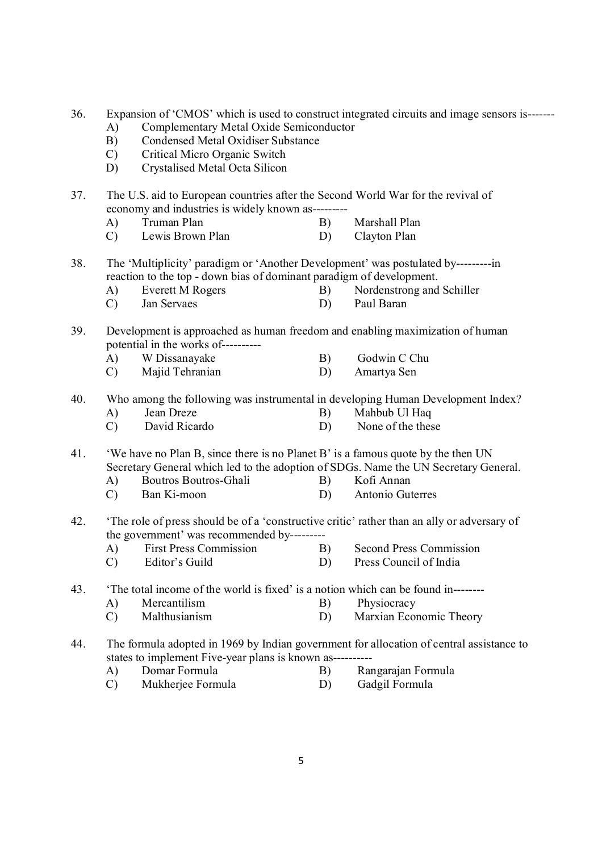36. Expansion of 'CMOS' which is used to construct integrated circuits and image sensors is-------

- A) Complementary Metal Oxide Semiconductor
- B) Condensed Metal Oxidiser Substance
- C) Critical Micro Organic Switch
- D) Crystalised Metal Octa Silicon

37. The U.S. aid to European countries after the Second World War for the revival of economy and industries is widely known as---------

- A) Truman Plan B) Marshall Plan
- C) Lewis Brown Plan D) Clayton Plan

38. The 'Multiplicity' paradigm or 'Another Development' was postulated by---------in reaction to the top - down bias of dominant paradigm of development.

- A) Everett M Rogers B) Nordenstrong and Schiller
- C) Jan Servaes D) Paul Baran
- 39. Development is approached as human freedom and enabling maximization of human potential in the works of----------
	- A) W Dissanayake B) Godwin C Chu<br>
	C) Maiid Tehranian D) Amartya Sen
	- C) Majid Tehranian D)

## 40. Who among the following was instrumental in developing Human Development Index?

- A) Jean Dreze B) Mahbub Ul Haq
- C) David Ricardo D) None of the these

41. 'We have no Plan B, since there is no Planet B' is a famous quote by the then UN Secretary General which led to the adoption of SDGs. Name the UN Secretary General.

- A) Boutros Boutros-Ghali B) Kofi Annan
- C) Ban Ki-moon D) Antonio Guterres
- 42. 'The role of press should be of a 'constructive critic' rather than an ally or adversary of the government' was recommended by---------
	- A) First Press Commission B) Second Press Commission<br>
	C) Editor's Guild D) Press Council of India
	- C) Editor's Guild D) Press Council of India

43. 'The total income of the world is fixed' is a notion which can be found in--------

- A) Mercantilism B) Physiocracy
- C) Malthusianism D) Marxian Economic Theory
- 44. The formula adopted in 1969 by Indian government for allocation of central assistance to states to implement Five-year plans is known as--------<br>A) Domar Formula B)
	- A) Domar Formula B) Rangarajan Formula<br>
	C) Mukheriee Formula D) Gadgil Formula
	- C) Mukheriee Formula D)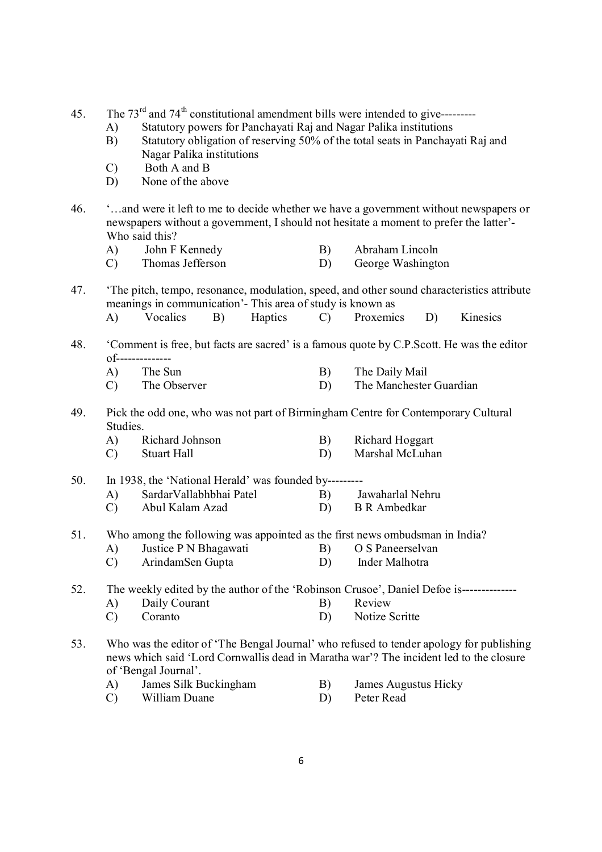45. The  $73<sup>rd</sup>$  and  $74<sup>th</sup>$  constitutional amendment bills were intended to give---------

- A) Statutory powers for Panchayati Raj and Nagar Palika institutions
- B) Statutory obligation of reserving 50% of the total seats in Panchayati Raj and Nagar Palika institutions
- C) Both A and B
- D) None of the above
- 46. '…and were it left to me to decide whether we have a government without newspapers or newspapers without a government, I should not hesitate a moment to prefer the latter'- Who said this?
	- A) John F Kennedy B) Abraham Lincoln
	- C) Thomas Jefferson D) George Washington
- 47. 'The pitch, tempo, resonance, modulation, speed, and other sound characteristics attribute meanings in communication'- This area of study is known as
	- A) Vocalics B) Haptics C) Proxemics D) Kinesics
- 48. 'Comment is free, but facts are sacred' is a famous quote by C.P.Scott. He was the editor of--------------
	- B) The Daily Mail C) The Observer D) The Manchester Guardian
- 49. Pick the odd one, who was not part of Birmingham Centre for Contemporary Cultural Studies.
	- A) Richard Johnson B) Richard Hoggart C) Stuart Hall D) Marshal McLuhan

50. In 1938, the 'National Herald' was founded by---------

- A) SardarVallabhbhai Patel B) Jawaharlal Nehru<br>
C) Abul Kalam Azad D) B R Ambedkar
- C) Abul Kalam Azad D)
- 51. Who among the following was appointed as the first news ombudsman in India?
	- A) Justice P N Bhagawati B) O S Paneerselvan<br>
	C) Arindam Sen Gunta D) Inder Malhotra
	- C) ArindamSen Gupta D)

52. The weekly edited by the author of the 'Robinson Crusoe', Daniel Defoe is--------------

- A) Daily Courant B) Review
	- C) Coranto D) Notize Scritte
- 53. Who was the editor of 'The Bengal Journal' who refused to tender apology for publishing news which said 'Lord Cornwallis dead in Maratha war'? The incident led to the closure of 'Bengal Journal'.
	- A) James Silk Buckingham B) James Augustus Hicky
	- C) William Duane D) Peter Read
- -

6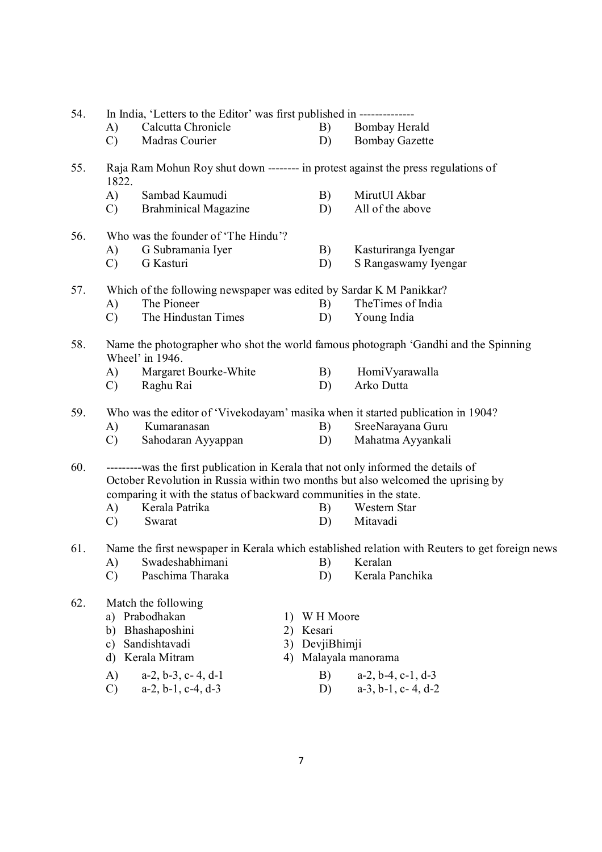| 54. |               | In India, 'Letters to the Editor' was first published in ---------------            |    |        |             |                                                                                                |
|-----|---------------|-------------------------------------------------------------------------------------|----|--------|-------------|------------------------------------------------------------------------------------------------|
|     | A)            | Calcutta Chronicle                                                                  |    |        | B)          | Bombay Herald                                                                                  |
|     | $\mathcal{C}$ | Madras Courier                                                                      |    |        | D)          | <b>Bombay Gazette</b>                                                                          |
| 55. | 1822.         |                                                                                     |    |        |             | Raja Ram Mohun Roy shut down -------- in protest against the press regulations of              |
|     | A)            | Sambad Kaumudi                                                                      |    |        | B)          | MirutUl Akbar                                                                                  |
|     | $\mathcal{C}$ | <b>Brahminical Magazine</b>                                                         |    |        | D)          | All of the above                                                                               |
| 56. |               | Who was the founder of 'The Hindu'?                                                 |    |        |             |                                                                                                |
|     | A)            | G Subramania Iyer                                                                   |    |        | B)          | Kasturiranga Iyengar                                                                           |
|     | $\mathcal{C}$ | G Kasturi                                                                           |    |        | D)          | S Rangaswamy Iyengar                                                                           |
| 57. |               | Which of the following newspaper was edited by Sardar K M Panikkar?                 |    |        |             |                                                                                                |
|     | A)            | The Pioneer                                                                         |    |        | B)          | TheTimes of India                                                                              |
|     | $\mathcal{C}$ | The Hindustan Times                                                                 |    |        | D)          | Young India                                                                                    |
| 58. |               | Wheel' in 1946.                                                                     |    |        |             | Name the photographer who shot the world famous photograph 'Gandhi and the Spinning            |
|     | A)            | Margaret Bourke-White                                                               |    |        | B)          | HomiVyarawalla                                                                                 |
|     | $\mathcal{C}$ | Raghu Rai                                                                           |    |        | D)          | Arko Dutta                                                                                     |
| 59. |               |                                                                                     |    |        |             | Who was the editor of 'Vivekodayam' masika when it started publication in 1904?                |
|     | A)            | Kumaranasan                                                                         |    |        | B)          | SreeNarayana Guru                                                                              |
|     | $\mathcal{C}$ | Sahodaran Ayyappan                                                                  |    |        | D)          | Mahatma Ayyankali                                                                              |
| 60. |               | ----------was the first publication in Kerala that not only informed the details of |    |        |             |                                                                                                |
|     |               |                                                                                     |    |        |             | October Revolution in Russia within two months but also welcomed the uprising by               |
|     |               | comparing it with the status of backward communities in the state.                  |    |        |             |                                                                                                |
|     | A)            | Kerala Patrika                                                                      |    |        | B)          | Western Star                                                                                   |
|     | $\mathcal{C}$ | Swarat                                                                              |    |        | D)          | Mitavadi                                                                                       |
| 61. |               |                                                                                     |    |        |             | Name the first newspaper in Kerala which established relation with Reuters to get foreign news |
|     |               | A) Swadeshabhimani B) Keralan                                                       |    |        |             |                                                                                                |
|     | $\mathcal{C}$ | Paschima Tharaka                                                                    |    |        | D)          | Kerala Panchika                                                                                |
| 62. |               | Match the following                                                                 |    |        |             |                                                                                                |
|     | a)            | Prabodhakan                                                                         | 1) |        | W H Moore   |                                                                                                |
|     | b)            | Bhashaposhini                                                                       | 2) | Kesari |             |                                                                                                |
|     | c)            | Sandishtavadi                                                                       | 3) |        | DevjiBhimji |                                                                                                |
|     | d)            | Kerala Mitram                                                                       | 4) |        |             | Malayala manorama                                                                              |
|     | A)            | $a-2, b-3, c-4, d-1$                                                                |    |        | B)          | $a-2, b-4, c-1, d-3$                                                                           |
|     | $\mathcal{C}$ | $a-2$ , $b-1$ , $c-4$ , $d-3$                                                       |    |        | D)          | $a-3$ , $b-1$ , $c-4$ , $d-2$                                                                  |
|     |               |                                                                                     |    |        |             |                                                                                                |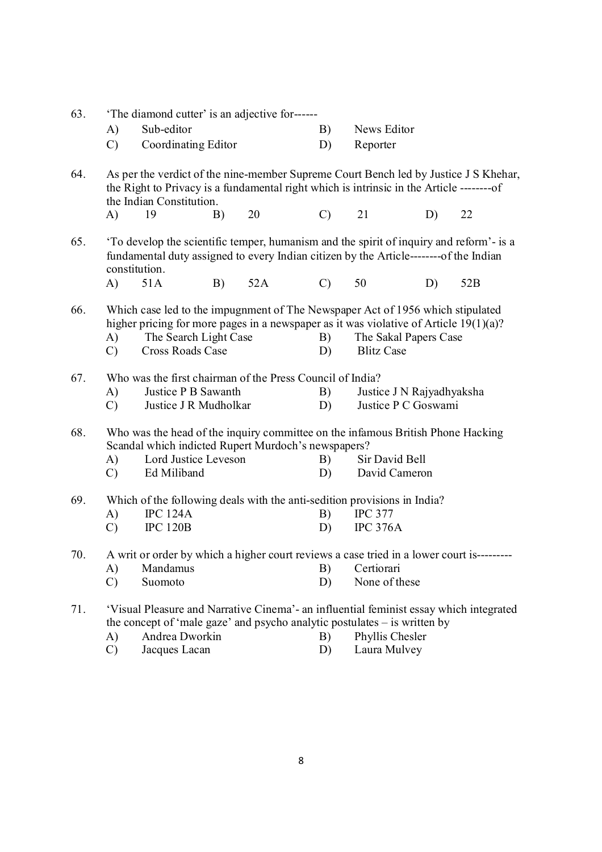| 63. |                                                                                                                                                                                                                                                | The diamond cutter' is an adjective for------             |    |     |               |                                                                                                                                                                                 |    |     |
|-----|------------------------------------------------------------------------------------------------------------------------------------------------------------------------------------------------------------------------------------------------|-----------------------------------------------------------|----|-----|---------------|---------------------------------------------------------------------------------------------------------------------------------------------------------------------------------|----|-----|
|     | $\mathbf{A}$                                                                                                                                                                                                                                   | Sub-editor                                                |    |     | B)            | News Editor                                                                                                                                                                     |    |     |
|     | $\mathcal{C}$                                                                                                                                                                                                                                  | Coordinating Editor                                       |    |     | D)            | Reporter                                                                                                                                                                        |    |     |
| 64. |                                                                                                                                                                                                                                                | the Indian Constitution.                                  |    |     |               | As per the verdict of the nine-member Supreme Court Bench led by Justice J S Khehar,                                                                                            |    |     |
|     | $\mathbf{A}$                                                                                                                                                                                                                                   | 19                                                        | B) | 20  | $\mathcal{C}$ | 21                                                                                                                                                                              | D) | 22  |
| 65. |                                                                                                                                                                                                                                                | constitution.                                             |    |     |               | To develop the scientific temper, humanism and the spirit of inquiry and reform'- is a<br>fundamental duty assigned to every Indian citizen by the Article--------of the Indian |    |     |
|     | A)                                                                                                                                                                                                                                             | 51A                                                       | B) | 52A | $\mathcal{C}$ | 50                                                                                                                                                                              | D) | 52B |
| 66. | Which case led to the impugnment of The Newspaper Act of 1956 which stipulated<br>higher pricing for more pages in a newspaper as it was violative of Article $19(1)(a)$ ?<br>The Search Light Case<br>A)<br>Cross Roads Case<br>$\mathcal{C}$ |                                                           |    |     | B)<br>D)      | The Sakal Papers Case<br><b>Blitz Case</b>                                                                                                                                      |    |     |
| 67. |                                                                                                                                                                                                                                                | Who was the first chairman of the Press Council of India? |    |     |               |                                                                                                                                                                                 |    |     |
|     | A)                                                                                                                                                                                                                                             | Justice P B Sawanth                                       |    |     | B)            | Justice J N Rajyadhyaksha                                                                                                                                                       |    |     |
|     | $\mathcal{C}$                                                                                                                                                                                                                                  | Justice J R Mudholkar                                     |    |     | D)            | Justice P C Goswami                                                                                                                                                             |    |     |
| 68. |                                                                                                                                                                                                                                                | Scandal which indicted Rupert Murdoch's newspapers?       |    |     |               | Who was the head of the inquiry committee on the infamous British Phone Hacking                                                                                                 |    |     |
|     | A)                                                                                                                                                                                                                                             | Lord Justice Leveson                                      |    |     | B)            | Sir David Bell                                                                                                                                                                  |    |     |
|     | $\mathcal{C}$                                                                                                                                                                                                                                  | Ed Miliband                                               |    |     | D)            | David Cameron                                                                                                                                                                   |    |     |
| 69. |                                                                                                                                                                                                                                                |                                                           |    |     |               | Which of the following deals with the anti-sedition provisions in India?                                                                                                        |    |     |
|     | A)                                                                                                                                                                                                                                             | <b>IPC 124A</b>                                           |    |     | B)            | <b>IPC 377</b>                                                                                                                                                                  |    |     |
|     | $\mathcal{C}$                                                                                                                                                                                                                                  | <b>IPC 120B</b>                                           |    |     | D)            | <b>IPC 376A</b>                                                                                                                                                                 |    |     |
| 70. |                                                                                                                                                                                                                                                |                                                           |    |     |               | A writ or order by which a higher court reviews a case tried in a lower court is--------                                                                                        |    |     |
|     | A)                                                                                                                                                                                                                                             | Mandamus                                                  |    |     | B)            | Certiorari                                                                                                                                                                      |    |     |
|     | $\mathcal{C}$                                                                                                                                                                                                                                  | Suomoto                                                   |    |     | D)            | None of these                                                                                                                                                                   |    |     |
| 71. |                                                                                                                                                                                                                                                |                                                           |    |     |               | 'Visual Pleasure and Narrative Cinema'- an influential feminist essay which integrated<br>the concept of 'male gaze' and psycho analytic postulates $-$ is written by           |    |     |
|     | $\mathbf{A}$                                                                                                                                                                                                                                   | Andrea Dworkin                                            |    |     | B)            | Phyllis Chesler                                                                                                                                                                 |    |     |
|     | $\mathcal{C}$                                                                                                                                                                                                                                  | Jacques Lacan                                             |    |     | D)            | Laura Mulvey                                                                                                                                                                    |    |     |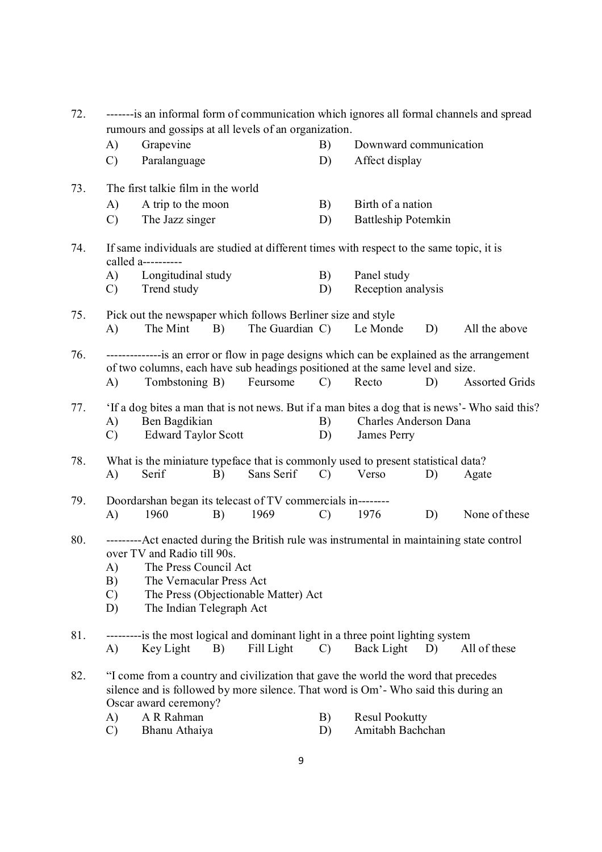| 72. | -------is an informal form of communication which ignores all formal channels and spread<br>rumours and gossips at all levels of an organization. |                                                                                                                                                                                                           |    |                                      |               |                                           |    |                                                                                                                          |
|-----|---------------------------------------------------------------------------------------------------------------------------------------------------|-----------------------------------------------------------------------------------------------------------------------------------------------------------------------------------------------------------|----|--------------------------------------|---------------|-------------------------------------------|----|--------------------------------------------------------------------------------------------------------------------------|
|     | $\mathbf{A}$                                                                                                                                      | Grapevine                                                                                                                                                                                                 |    |                                      | B)            | Downward communication                    |    |                                                                                                                          |
|     | $\mathcal{C}$                                                                                                                                     | Paralanguage                                                                                                                                                                                              |    |                                      | D)            | Affect display                            |    |                                                                                                                          |
| 73. |                                                                                                                                                   | The first talkie film in the world                                                                                                                                                                        |    |                                      |               |                                           |    |                                                                                                                          |
|     | A)                                                                                                                                                | A trip to the moon                                                                                                                                                                                        |    |                                      | B)            | Birth of a nation                         |    |                                                                                                                          |
|     | $\mathcal{C}$                                                                                                                                     | The Jazz singer                                                                                                                                                                                           |    |                                      | D)            | <b>Battleship Potemkin</b>                |    |                                                                                                                          |
| 74. |                                                                                                                                                   | If same individuals are studied at different times with respect to the same topic, it is<br>called a----------                                                                                            |    |                                      |               |                                           |    |                                                                                                                          |
|     | A)                                                                                                                                                | Longitudinal study                                                                                                                                                                                        |    |                                      | B)            | Panel study                               |    |                                                                                                                          |
|     | $\mathcal{C}$                                                                                                                                     | Trend study                                                                                                                                                                                               |    |                                      | D)            | Reception analysis                        |    |                                                                                                                          |
| 75. |                                                                                                                                                   | Pick out the newspaper which follows Berliner size and style                                                                                                                                              |    |                                      |               |                                           |    |                                                                                                                          |
|     | A)                                                                                                                                                | The Mint                                                                                                                                                                                                  | B) | The Guardian C)                      |               | Le Monde                                  | D) | All the above                                                                                                            |
| 76. |                                                                                                                                                   | of two columns, each have sub headings positioned at the same level and size.                                                                                                                             |    |                                      |               |                                           |    | ----------------- is an error or flow in page designs which can be explained as the arrangement<br><b>Assorted Grids</b> |
|     | A)                                                                                                                                                | Tombstoning B)                                                                                                                                                                                            |    | Feursome                             | $\mathcal{C}$ | Recto                                     | D) |                                                                                                                          |
| 77. | A)<br>$\mathcal{C}$                                                                                                                               | Ben Bagdikian<br><b>Edward Taylor Scott</b>                                                                                                                                                               |    |                                      | B)<br>D)      | Charles Anderson Dana<br>James Perry      |    | 'If a dog bites a man that is not news. But if a man bites a dog that is news'- Who said this?                           |
| 78. | A)                                                                                                                                                | What is the miniature typeface that is commonly used to present statistical data?<br>Serif                                                                                                                | B) | Sans Serif                           | $\mathcal{C}$ | Verso                                     | D) | Agate                                                                                                                    |
| 79. | A)                                                                                                                                                | Doordarshan began its telecast of TV commercials in--------<br>1960                                                                                                                                       | B) | 1969                                 | $\mathcal{C}$ | 1976                                      | D) | None of these                                                                                                            |
| 80. | A)<br>B)<br>$\mathcal{C}$<br>D)                                                                                                                   | ---------Act enacted during the British rule was instrumental in maintaining state control<br>over TV and Radio till 90s<br>The Press Council Act<br>The Vernacular Press Act<br>The Indian Telegraph Act |    | The Press (Objectionable Matter) Act |               |                                           |    |                                                                                                                          |
| 81. | A)                                                                                                                                                | ---------is the most logical and dominant light in a three point lighting system<br>Key Light                                                                                                             | B) | Fill Light                           | $\mathcal{C}$ | Back Light                                | D) | All of these                                                                                                             |
| 82. |                                                                                                                                                   | "I come from a country and civilization that gave the world the word that precedes<br>silence and is followed by more silence. That word is Om'- Who said this during an<br>Oscar award ceremony?         |    |                                      |               |                                           |    |                                                                                                                          |
|     | A)<br>$\mathcal{C}$                                                                                                                               | A R Rahman<br>Bhanu Athaiya                                                                                                                                                                               |    |                                      | B)<br>D)      | <b>Resul Pookutty</b><br>Amitabh Bachchan |    |                                                                                                                          |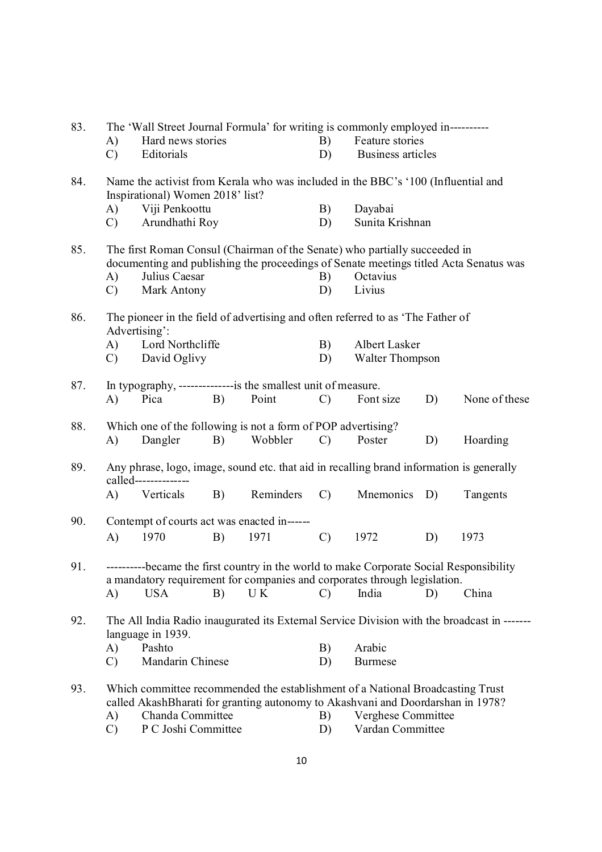| 83. |                        |                                  |    |                                                                          |               | The 'Wall Street Journal Formula' for writing is commonly employed in----------                                                                                      |    |                                                                                             |
|-----|------------------------|----------------------------------|----|--------------------------------------------------------------------------|---------------|----------------------------------------------------------------------------------------------------------------------------------------------------------------------|----|---------------------------------------------------------------------------------------------|
|     | A)                     | Hard news stories                |    |                                                                          | B)            | Feature stories                                                                                                                                                      |    |                                                                                             |
|     | $\mathcal{C}$          | Editorials                       |    |                                                                          | D)            | <b>Business articles</b>                                                                                                                                             |    |                                                                                             |
| 84. |                        | Inspirational) Women 2018' list? |    |                                                                          |               | Name the activist from Kerala who was included in the BBC's '100 (Influential and                                                                                    |    |                                                                                             |
|     | A)                     | Viji Penkoottu                   |    |                                                                          | B)            | Dayabai                                                                                                                                                              |    |                                                                                             |
|     | $\mathcal{C}$          | Arundhathi Roy                   |    |                                                                          | D)            | Sunita Krishnan                                                                                                                                                      |    |                                                                                             |
| 85. |                        |                                  |    |                                                                          |               | The first Roman Consul (Chairman of the Senate) who partially succeeded in                                                                                           |    | documenting and publishing the proceedings of Senate meetings titled Acta Senatus was       |
|     | A)                     | Julius Caesar                    |    |                                                                          | B)            | Octavius                                                                                                                                                             |    |                                                                                             |
|     | $\mathcal{C}$          | Mark Antony                      |    |                                                                          | D)            | Livius                                                                                                                                                               |    |                                                                                             |
| 86. |                        | Advertising':                    |    |                                                                          |               | The pioneer in the field of advertising and often referred to as 'The Father of                                                                                      |    |                                                                                             |
|     | A)                     | Lord Northcliffe                 |    |                                                                          | B)            | Albert Lasker                                                                                                                                                        |    |                                                                                             |
|     | $\mathcal{C}$          | David Oglivy                     |    |                                                                          | D)            | <b>Walter Thompson</b>                                                                                                                                               |    |                                                                                             |
| 87. | A)                     | Pica                             | B) | In typography, ----------------is the smallest unit of measure.<br>Point | $\mathcal{C}$ | Font size                                                                                                                                                            | D) | None of these                                                                               |
|     |                        |                                  |    |                                                                          |               |                                                                                                                                                                      |    |                                                                                             |
| 88. |                        |                                  |    | Which one of the following is not a form of POP advertising?             |               |                                                                                                                                                                      |    |                                                                                             |
|     | A)                     | Dangler                          | B) | Wobbler                                                                  | $\mathcal{C}$ | Poster                                                                                                                                                               | D) | Hoarding                                                                                    |
| 89. |                        | called--------------             |    |                                                                          |               | Any phrase, logo, image, sound etc. that aid in recalling brand information is generally                                                                             |    |                                                                                             |
|     | A)                     | Verticals                        | B) | Reminders                                                                | $\mathcal{C}$ | Mnemonics D)                                                                                                                                                         |    | Tangents                                                                                    |
| 90. |                        |                                  |    | Contempt of courts act was enacted in------                              |               |                                                                                                                                                                      |    |                                                                                             |
|     | $\mathbf{A}$           | 1970                             | B) | 1971                                                                     | $\mathcal{C}$ | 1972                                                                                                                                                                 | D) | 1973                                                                                        |
| 91. |                        |                                  |    |                                                                          |               | ----------became the first country in the world to make Corporate Social Responsibility<br>a mandatory requirement for companies and corporates through legislation. |    |                                                                                             |
|     | A)                     | <b>USA</b>                       | B) | U K                                                                      | $\mathcal{C}$ | India                                                                                                                                                                | D) | China                                                                                       |
| 92. |                        | language in 1939.                |    |                                                                          |               |                                                                                                                                                                      |    | The All India Radio inaugurated its External Service Division with the broadcast in ------- |
|     | A)                     | Pashto                           |    |                                                                          |               | Arabic                                                                                                                                                               |    |                                                                                             |
|     | $\mathcal{C}$          | Mandarin Chinese                 |    |                                                                          | D)            | <b>Burmese</b>                                                                                                                                                       |    |                                                                                             |
| 93. |                        |                                  |    |                                                                          |               | Which committee recommended the establishment of a National Broadcasting Trust<br>called AkashBharati for granting autonomy to Akashvani and Doordarshan in 1978?    |    |                                                                                             |
|     |                        |                                  |    |                                                                          | B)            | Verghese Committee                                                                                                                                                   |    |                                                                                             |
|     | Chanda Committee<br>A) |                                  |    |                                                                          |               |                                                                                                                                                                      |    |                                                                                             |

- C) P C Joshi Committee D) Vardan Committee
	- 10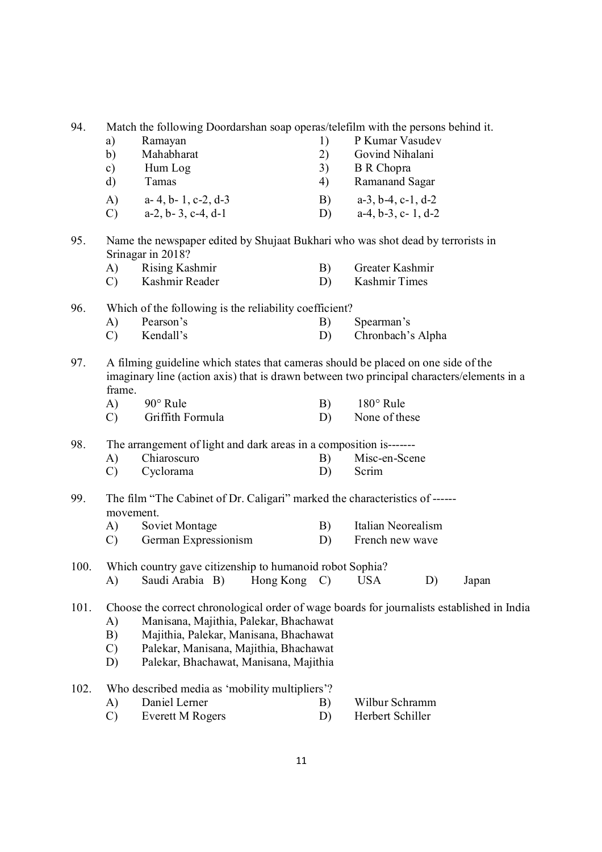| 94.  | Match the following Doordarshan soap operas/telefilm with the persons behind it. |                                                                                                                                                                      |          |                                                                                                                         |  |  |  |  |  |
|------|----------------------------------------------------------------------------------|----------------------------------------------------------------------------------------------------------------------------------------------------------------------|----------|-------------------------------------------------------------------------------------------------------------------------|--|--|--|--|--|
|      | a)                                                                               | Ramayan                                                                                                                                                              | 1)       | P Kumar Vasudev                                                                                                         |  |  |  |  |  |
|      | b)                                                                               | Mahabharat                                                                                                                                                           | 2)       | Govind Nihalani                                                                                                         |  |  |  |  |  |
|      | c)                                                                               | Hum Log                                                                                                                                                              | 3)       | <b>B</b> R Chopra                                                                                                       |  |  |  |  |  |
|      | d)                                                                               | Tamas                                                                                                                                                                | 4)       | Ramanand Sagar                                                                                                          |  |  |  |  |  |
|      | A)                                                                               | a-4, b-1, c-2, d-3                                                                                                                                                   | B)       | $a-3$ , $b-4$ , $c-1$ , $d-2$                                                                                           |  |  |  |  |  |
|      | $\mathcal{C}$                                                                    | $a-2$ , $b-3$ , $c-4$ , $d-1$                                                                                                                                        | D)       | $a-4, b-3, c-1, d-2$                                                                                                    |  |  |  |  |  |
| 95.  |                                                                                  | Name the newspaper edited by Shujaat Bukhari who was shot dead by terrorists in<br>Srinagar in 2018?                                                                 |          |                                                                                                                         |  |  |  |  |  |
|      | A)                                                                               | <b>Rising Kashmir</b>                                                                                                                                                | B)       | Greater Kashmir                                                                                                         |  |  |  |  |  |
|      | $\mathcal{C}$                                                                    | Kashmir Reader                                                                                                                                                       | D)       | Kashmir Times                                                                                                           |  |  |  |  |  |
| 96.  |                                                                                  | Which of the following is the reliability coefficient?                                                                                                               |          |                                                                                                                         |  |  |  |  |  |
|      | $\mathbf{A}$                                                                     | Pearson's                                                                                                                                                            | B)       | Spearman's                                                                                                              |  |  |  |  |  |
|      | $\mathcal{C}$                                                                    | Kendall's                                                                                                                                                            | D)       | Chronbach's Alpha                                                                                                       |  |  |  |  |  |
| 97.  | frame.<br>A)<br>$\mathcal{C}$                                                    | A filming guideline which states that cameras should be placed on one side of the<br>90° Rule<br>Griffith Formula                                                    | B)<br>D) | imaginary line (action axis) that is drawn between two principal characters/elements in a<br>180° Rule<br>None of these |  |  |  |  |  |
|      |                                                                                  |                                                                                                                                                                      |          |                                                                                                                         |  |  |  |  |  |
| 98.  |                                                                                  | The arrangement of light and dark areas in a composition is-------                                                                                                   |          |                                                                                                                         |  |  |  |  |  |
|      | A)                                                                               | Chiaroscuro                                                                                                                                                          | B)       | Misc-en-Scene                                                                                                           |  |  |  |  |  |
|      | $\mathcal{C}$                                                                    | Cyclorama                                                                                                                                                            | D)       | Scrim                                                                                                                   |  |  |  |  |  |
| 99.  | movement.                                                                        | The film "The Cabinet of Dr. Caligari" marked the characteristics of ------                                                                                          |          |                                                                                                                         |  |  |  |  |  |
|      | A)                                                                               | Soviet Montage                                                                                                                                                       | B)       | Italian Neorealism                                                                                                      |  |  |  |  |  |
|      | $\mathcal{C}$                                                                    | German Expressionism                                                                                                                                                 | D)       | French new wave                                                                                                         |  |  |  |  |  |
| 100. |                                                                                  | Which country gave citizenship to humanoid robot Sophia?                                                                                                             |          |                                                                                                                         |  |  |  |  |  |
|      | A)                                                                               | Saudi Arabia B)<br>Hong Kong $C$ )                                                                                                                                   |          | <b>USA</b><br>D)<br>Japan                                                                                               |  |  |  |  |  |
| 101. | A)<br>B)<br>$\mathcal{C}$<br>D)                                                  | Manisana, Majithia, Palekar, Bhachawat<br>Majithia, Palekar, Manisana, Bhachawat<br>Palekar, Manisana, Majithia, Bhachawat<br>Palekar, Bhachawat, Manisana, Majithia |          | Choose the correct chronological order of wage boards for journalists established in India                              |  |  |  |  |  |
| 102. |                                                                                  | Who described media as 'mobility multipliers'?                                                                                                                       |          |                                                                                                                         |  |  |  |  |  |
|      | A)                                                                               | Daniel Lerner                                                                                                                                                        | B)       | Wilbur Schramm                                                                                                          |  |  |  |  |  |
|      | $\mathcal{C}$                                                                    | <b>Everett M Rogers</b>                                                                                                                                              | D)       | Herbert Schiller                                                                                                        |  |  |  |  |  |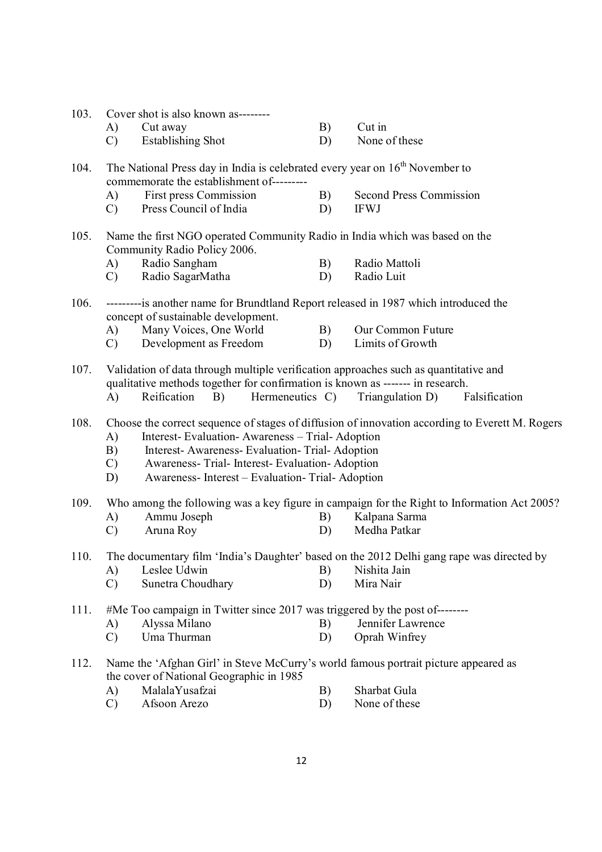| 103. |               | Cover shot is also known as--------                                                                                                                                                                            |    |                                                                                                 |
|------|---------------|----------------------------------------------------------------------------------------------------------------------------------------------------------------------------------------------------------------|----|-------------------------------------------------------------------------------------------------|
|      | A)            | Cut away                                                                                                                                                                                                       | B) | Cut in                                                                                          |
|      | $\mathcal{C}$ | <b>Establishing Shot</b>                                                                                                                                                                                       | D) | None of these                                                                                   |
| 104. |               | The National Press day in India is celebrated every year on $16th$ November to<br>commemorate the establishment of---------                                                                                    |    |                                                                                                 |
|      | A)            | First press Commission                                                                                                                                                                                         | B) | <b>Second Press Commission</b>                                                                  |
|      | $\mathcal{C}$ | Press Council of India                                                                                                                                                                                         | D) | <b>IFWJ</b>                                                                                     |
| 105. |               | Name the first NGO operated Community Radio in India which was based on the<br>Community Radio Policy 2006.                                                                                                    |    |                                                                                                 |
|      | A)            | Radio Sangham                                                                                                                                                                                                  | B) | Radio Mattoli                                                                                   |
|      | $\mathcal{C}$ | Radio SagarMatha                                                                                                                                                                                               | D) | Radio Luit                                                                                      |
| 106. |               | ---------is another name for Brundtland Report released in 1987 which introduced the<br>concept of sustainable development.                                                                                    |    |                                                                                                 |
|      | A)            | Many Voices, One World                                                                                                                                                                                         | B) | Our Common Future                                                                               |
|      | $\mathcal{C}$ | Development as Freedom                                                                                                                                                                                         | D) | Limits of Growth                                                                                |
| 107. | A)            | Validation of data through multiple verification approaches such as quantitative and<br>qualitative methods together for confirmation is known as ------- in research.<br>Hermeneutics C)<br>Reification<br>B) |    | Triangulation D)<br>Falsification                                                               |
| 108. |               |                                                                                                                                                                                                                |    | Choose the correct sequence of stages of diffusion of innovation according to Everett M. Rogers |
|      | A)            | Interest-Evaluation-Awareness - Trial-Adoption                                                                                                                                                                 |    |                                                                                                 |
|      | B)            | Interest- Awareness- Evaluation- Trial- Adoption                                                                                                                                                               |    |                                                                                                 |
|      | $\mathcal{C}$ | Awareness-Trial-Interest-Evaluation-Adoption                                                                                                                                                                   |    |                                                                                                 |
|      | D)            | Awareness- Interest - Evaluation- Trial- Adoption                                                                                                                                                              |    |                                                                                                 |
| 109. |               |                                                                                                                                                                                                                |    | Who among the following was a key figure in campaign for the Right to Information Act 2005?     |
|      | A)            | Ammu Joseph                                                                                                                                                                                                    | B) | Kalpana Sarma                                                                                   |
|      | $\mathcal{C}$ | Aruna Roy                                                                                                                                                                                                      | D) | Medha Patkar                                                                                    |
| 110. |               |                                                                                                                                                                                                                |    | The documentary film 'India's Daughter' based on the 2012 Delhi gang rape was directed by       |
|      | A)            | Leslee Udwin                                                                                                                                                                                                   | B) | Nishita Jain                                                                                    |
|      | $\mathcal{C}$ | Sunetra Choudhary                                                                                                                                                                                              | D) | Mira Nair                                                                                       |
| 111. |               | #Me Too campaign in Twitter since 2017 was triggered by the post of--------                                                                                                                                    |    |                                                                                                 |
|      | A)            | Alyssa Milano                                                                                                                                                                                                  | B) | Jennifer Lawrence                                                                               |
|      | $\mathcal{C}$ | Uma Thurman                                                                                                                                                                                                    | D) | Oprah Winfrey                                                                                   |
| 112. |               | Name the 'Afghan Girl' in Steve McCurry's world famous portrait picture appeared as<br>the cover of National Geographic in 1985                                                                                |    |                                                                                                 |
|      | $\mathbf{A}$  | MalalaYusafzai                                                                                                                                                                                                 | B) | Sharbat Gula                                                                                    |

C) Afsoon Arezo D) None of these